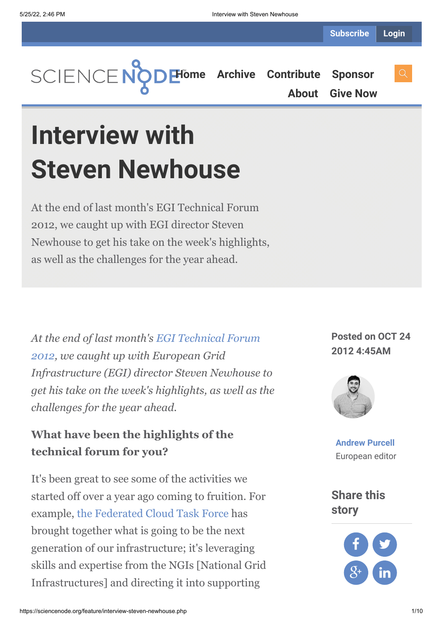

**[About](https://sciencenode.org/about/index.php) [Give Now](https://sciencenode.org/donate/index.php)**

**Interview with Steven Newhouse**

At the end of last month's EGI Technical Forum 2012, we caught up with EGI director Steven Newhouse to get his take on the week's highlights, as well as the challenges for the year ahead.

*[At the end of last month's EGI Technical Forum](http://tf2012.egi.eu/) 2012, we caught up with European Grid Infrastructure (EGI) director Steven Newhouse to get his take on the week's highlights, as well as the challenges for the year ahead.*

## **What have been the highlights of the technical forum for you?**

It's been great to see some of the activities we started off over a year ago coming to fruition. For example, [the Federated Cloud Task Force](http://www.isgtw.org/feature/federating-clouds-aid-researchers) has brought together what is going to be the next generation of our infrastructure; it's leveraging skills and expertise from the NGIs [National Grid Infrastructures] and directing it into supporting

**Posted on OCT 24 2012 4:45AM**



**[Andrew Purcell](https://sciencenode.org/author/andrew-purcell.php)** European editor

**Share this story**

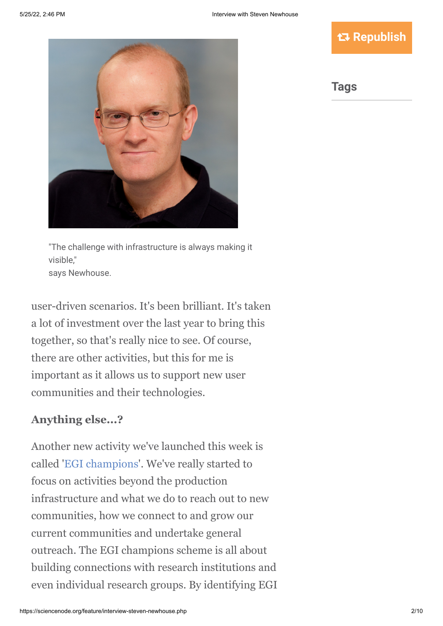### **Republish**



"The challenge with infrastructure is always making it visible," says Newhouse.

user-driven scenarios. It's been brilliant. It's taken a lot of investment over the last year to bring this together, so that's really nice to see. Of course, there are other activities, but this for me is important as it allows us to support new user communities and their technologies.

### **Anything else...?**

Another new activity we've launched this week is called '[EGI champions](http://www.egi.eu/blog/2012/09/27/egi_champions.html)'. We've really started to focus on activities beyond the production infrastructure and what we do to reach out to new communities, how we connect to and grow our current communities and undertake general outreach. The EGI champions scheme is all about building connections with research institutions and even individual research groups. By identifying EGI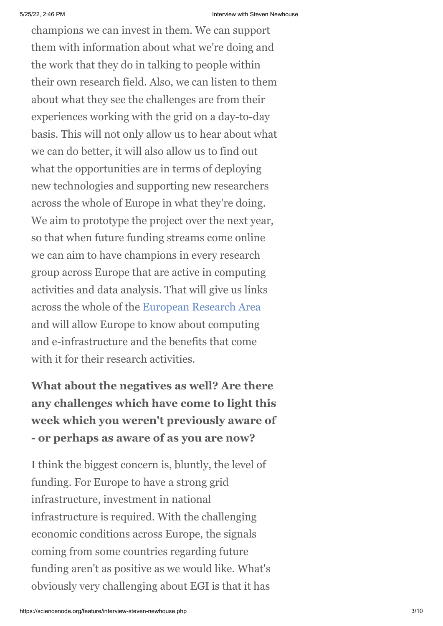champions we can invest in them. We can support them with information about what we're doing and the work that they do in talking to people within their own research field. Also, we can listen to them about what they see the challenges are from their experiences working with the grid on a day-to-day basis. This will not only allow us to hear about what we can do better, it will also allow us to find out what the opportunities are in terms of deploying new technologies and supporting new researchers across the whole of Europe in what they're doing. We aim to prototype the project over the next year, so that when future funding streams come online we can aim to have champions in every research group across Europe that are active in computing activities and data analysis. That will give us links across the whole of the [European Research Area](http://ec.europa.eu/research/era/index_en.htm) and will allow Europe to know about computing and e-infrastructure and the benefits that come with it for their research activities.

**What about the negatives as well? Are there any challenges which have come to light this week which you weren't previously aware of - or perhaps as aware of as you are now?**

I think the biggest concern is, bluntly, the level of funding. For Europe to have a strong grid infrastructure, investment in national infrastructure is required. With the challenging economic conditions across Europe, the signals coming from some countries regarding future funding aren't as positive as we would like. What's obviously very challenging about EGI is that it has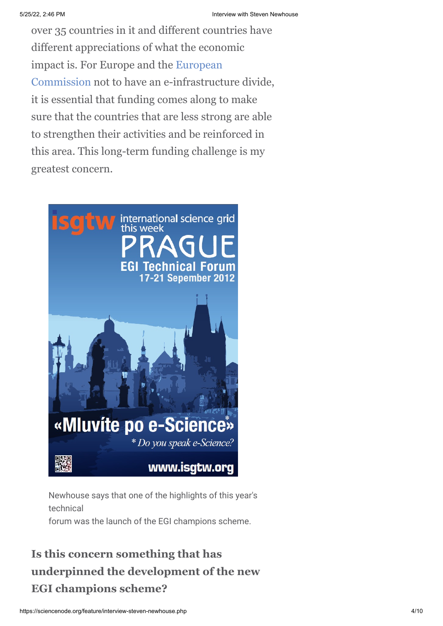over 35 countries in it and different countries have different appreciations of what the economic [impact is. For Europe and the European](http://ec.europa.eu/index_en.htm) Commission not to have an e-infrastructure divide, it is essential that funding comes along to make sure that the countries that are less strong are able to strengthen their activities and be reinforced in this area. This long-term funding challenge is my greatest concern.



Newhouse says that one of the highlights of this year's technical

forum was the launch of the EGI champions scheme.

# **Is this concern something that has underpinned the development of the new EGI champions scheme?**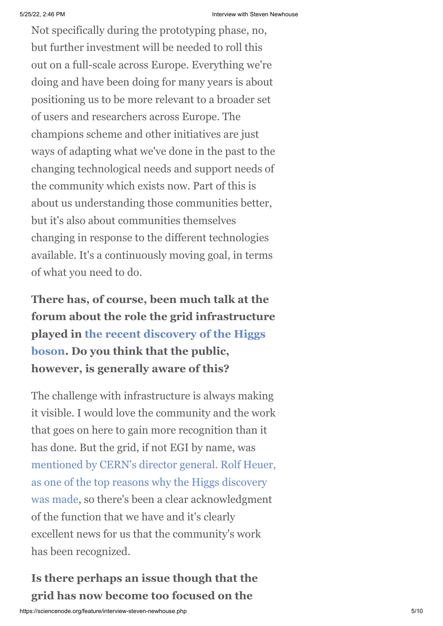Not specifically during the prototyping phase, no, but further investment will be needed to roll this out on a full-scale across Europe. Everything we're doing and have been doing for many years is about positioning us to be more relevant to a broader set of users and researchers across Europe. The champions scheme and other initiatives are just ways of adapting what we've done in the past to the changing technological needs and support needs of the community which exists now. Part of this is about us understanding those communities better, but it's also about communities themselves changing in response to the different technologies available. It's a continuously moving goal, in terms of what you need to do.

**There has, of course, been much talk at the forum about the role the grid infrastructure played in the recent discovery of the Higgs [boson. Do you think that the public,](http://press-archived.web.cern.ch/press-archived/PressReleases/Releases2012/PR17.12E.html) however, is generally aware of this?**

The challenge with infrastructure is always making it visible. I would love the community and the work that goes on here to gain more recognition than it has done. But the grid, if not EGI by name, was [mentioned by CERN's director general. Rolf Heuer,](http://www.isgtw.org/feature/higgs-history-and-grid) as one of the top reasons why the Higgs discovery was made, so there's been a clear acknowledgment of the function that we have and it's clearly excellent news for us that the community's work has been recognized.

**Is there perhaps an issue though that the grid has now become too focused on the**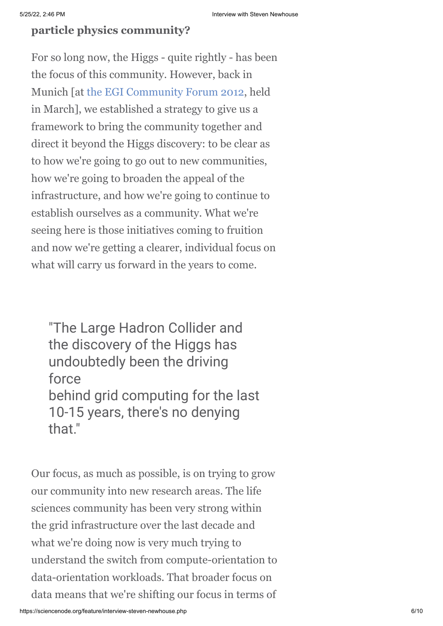### **particle physics community?**

For so long now, the Higgs - quite rightly - has been the focus of this community. However, back in Munich [at [the EGI Community Forum 2012,](http://cf2012.egi.eu/) held in March], we established a strategy to give us a framework to bring the community together and direct it beyond the Higgs discovery: to be clear as to how we're going to go out to new communities, how we're going to broaden the appeal of the infrastructure, and how we're going to continue to establish ourselves as a community. What we're seeing here is those initiatives coming to fruition and now we're getting a clearer, individual focus on what will carry us forward in the years to come.

"The Large Hadron Collider and the discovery of the Higgs has undoubtedly been the driving force behind grid computing for the last 10-15 years, there's no denying that."

Our focus, as much as possible, is on trying to grow our community into new research areas. The life sciences community has been very strong within the grid infrastructure over the last decade and what we're doing now is very much trying to understand the switch from compute-orientation to data-orientation workloads. That broader focus on data means that we're shifting our focus in terms of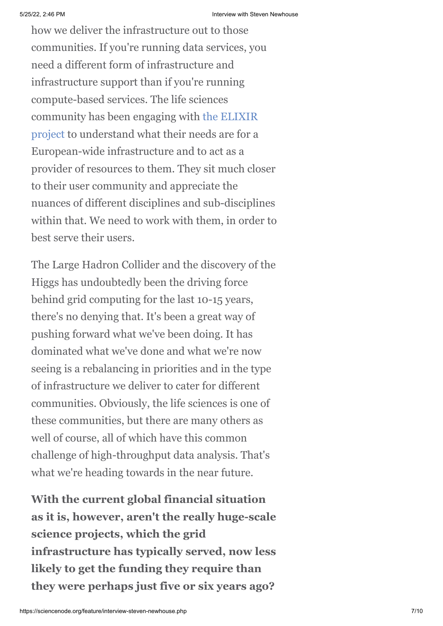how we deliver the infrastructure out to those communities. If you're running data services, you need a different form of infrastructure and infrastructure support than if you're running compute-based services. The life sciences [community has been engaging with the ELIXIR](http://www.elixir-europe.org/) project to understand what their needs are for a European-wide infrastructure and to act as a provider of resources to them. They sit much closer to their user community and appreciate the nuances of different disciplines and sub-disciplines within that. We need to work with them, in order to best serve their users.

The Large Hadron Collider and the discovery of the Higgs has undoubtedly been the driving force behind grid computing for the last 10-15 years, there's no denying that. It's been a great way of pushing forward what we've been doing. It has dominated what we've done and what we're now seeing is a rebalancing in priorities and in the type of infrastructure we deliver to cater for different communities. Obviously, the life sciences is one of these communities, but there are many others as well of course, all of which have this common challenge of high-throughput data analysis. That's what we're heading towards in the near future.

**With the current global financial situation as it is, however, aren't the really huge-scale science projects, which the grid infrastructure has typically served, now less likely to get the funding they require than they were perhaps just five or six years ago?**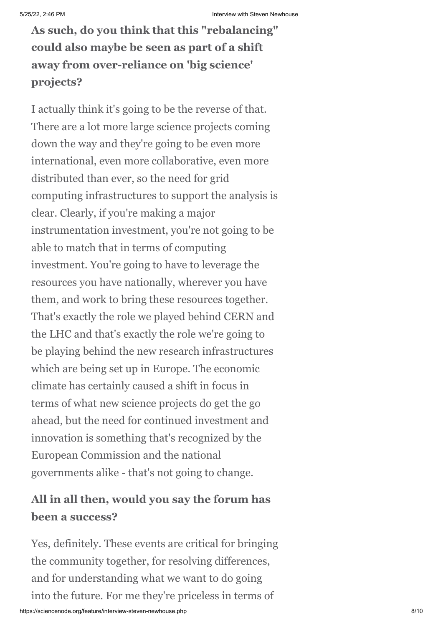**As such, do you think that this "rebalancing" could also maybe be seen as part of a shift away from over-reliance on 'big science' projects?**

I actually think it's going to be the reverse of that. There are a lot more large science projects coming down the way and they're going to be even more international, even more collaborative, even more distributed than ever, so the need for grid computing infrastructures to support the analysis is clear. Clearly, if you're making a major instrumentation investment, you're not going to be able to match that in terms of computing investment. You're going to have to leverage the resources you have nationally, wherever you have them, and work to bring these resources together. That's exactly the role we played behind CERN and the LHC and that's exactly the role we're going to be playing behind the new research infrastructures which are being set up in Europe. The economic climate has certainly caused a shift in focus in terms of what new science projects do get the go ahead, but the need for continued investment and innovation is something that's recognized by the European Commission and the national governments alike - that's not going to change.

# **All in all then, would you say the forum has been a success?**

Yes, definitely. These events are critical for bringing the community together, for resolving differences, and for understanding what we want to do going into the future. For me they're priceless in terms of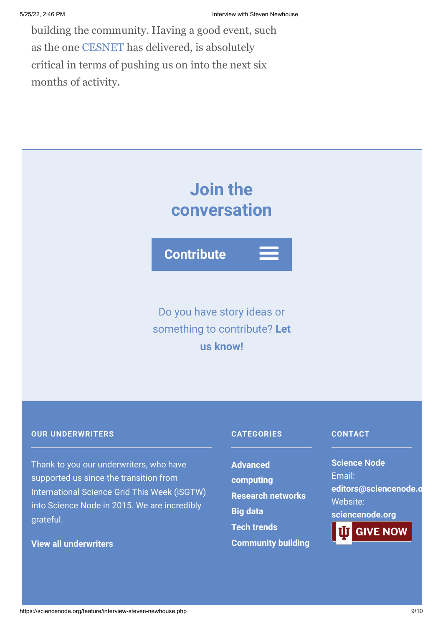building the community. Having a good event, such as the one [CESNET](http://www.ces.net/) has delivered, is absolutely critical in terms of pushing us on into the next six months of activity.

# **Join the conversation**

**Contribute**

Do you have story ideas or something to contribute? **Let us know!**

#### **OUR UNDERWRITERS**

Thank to you our underwriters, who have supported us since the transition from International Science Grid This Week (iSGTW) into Science Node in 2015. We are incredibly grateful.

**[View all underwriters](https://sciencenode.org/about/index.php)**

#### **CATEGORIES**

**Advanced [computing](https://sciencenode.org/archive/?year=2016&category=Advanced%20computing) [Research networks](https://sciencenode.org/archive/?year=2016&category=Advanced%20computing&category=Research%20networks) [Big data](https://sciencenode.org/archive/?year=2016&category=Advanced%20computing&category=Research%20networks&category=Big%20data) [Tech trends](https://sciencenode.org/archive/?year=2016&category=Advanced%20computing&category=Research%20networks&category=Big%20data&category=Tech%20trends) [Community building](https://sciencenode.org/archive/?year=2016&category=Advanced%20computing&category=Research%20networks&category=Big%20data&category=Tech%20trends&category=Community%20building)**

#### **CONTACT**

**Science Node** Email: **[editors@sciencenode.o](mailto:edit%6F%72s@s%63%69encenode.%6F%72%67)** Website: **[sciencenode.org](https://sciencenode.org/) GIVE NOW**